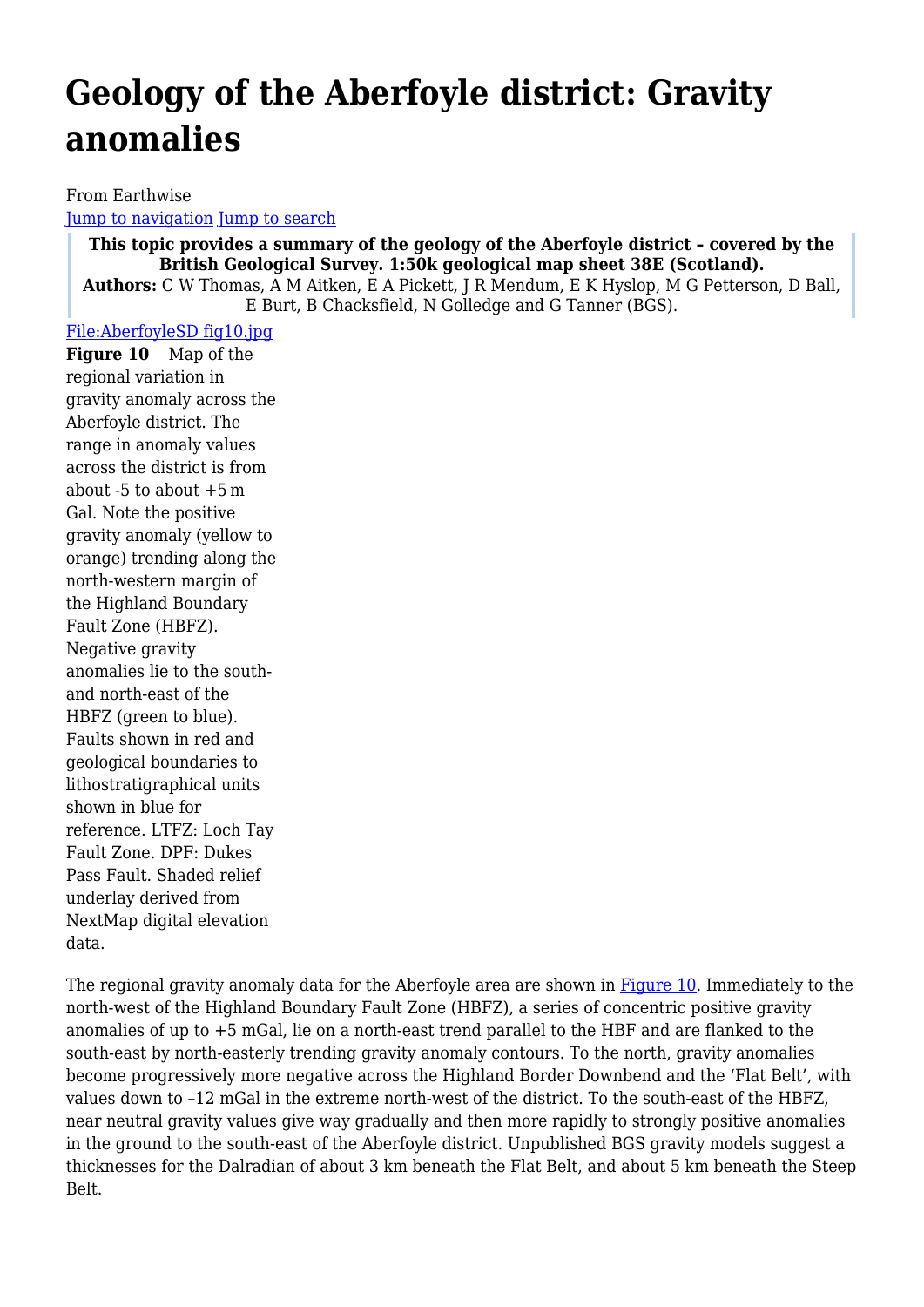# **Geology of the Aberfoyle district: Gravity anomalies**

From Earthwise [Jump to navigation](#page--1-0) [Jump to search](#page--1-0)

**This topic provides a summary of the geology of the Aberfoyle district – covered by the British Geological Survey. 1:50k geological map sheet 38E (Scotland).**

**Authors:** C W Thomas, A M Aitken, E A Pickett, J R Mendum, E K Hyslop, M G Petterson, D Ball, E Burt, B Chacksfield, N Golledge and G Tanner (BGS).

[File:AberfoyleSD fig10.jpg](http://earthwise.bgs.ac.uk/index.php?title=Special:Upload&wpDestFile=AberfoyleSD_fig10.jpg)

**Figure 10** Map of the regional variation in gravity anomaly across the Aberfoyle district. The range in anomaly values across the district is from about -5 to about +5 m Gal. Note the positive gravity anomaly (yellow to orange) trending along the north-western margin of the Highland Boundary Fault Zone (HBFZ). Negative gravity anomalies lie to the southand north-east of the HBFZ (green to blue). Faults shown in red and geological boundaries to lithostratigraphical units shown in blue for reference. LTFZ: Loch Tay Fault Zone. DPF: Dukes Pass Fault. Shaded relief underlay derived from NextMap digital elevation data.

The regional gravity anomaly data for the Aberfoyle area are shown in [Figure 10.](http://earthwise.bgs.ac.uk/index.php?title=Special:Upload&wpDestFile=AberfoyleSD_fig10.jpg) Immediately to the north-west of the Highland Boundary Fault Zone (HBFZ), a series of concentric positive gravity anomalies of up to +5 mGal, lie on a north-east trend parallel to the HBF and are flanked to the south-east by north-easterly trending gravity anomaly contours. To the north, gravity anomalies become progressively more negative across the Highland Border Downbend and the 'Flat Belt', with values down to –12 mGal in the extreme north-west of the district. To the south-east of the HBFZ, near neutral gravity values give way gradually and then more rapidly to strongly positive anomalies in the ground to the south-east of the Aberfoyle district. Unpublished BGS gravity models suggest a thicknesses for the Dalradian of about 3 km beneath the Flat Belt, and about 5 km beneath the Steep Belt.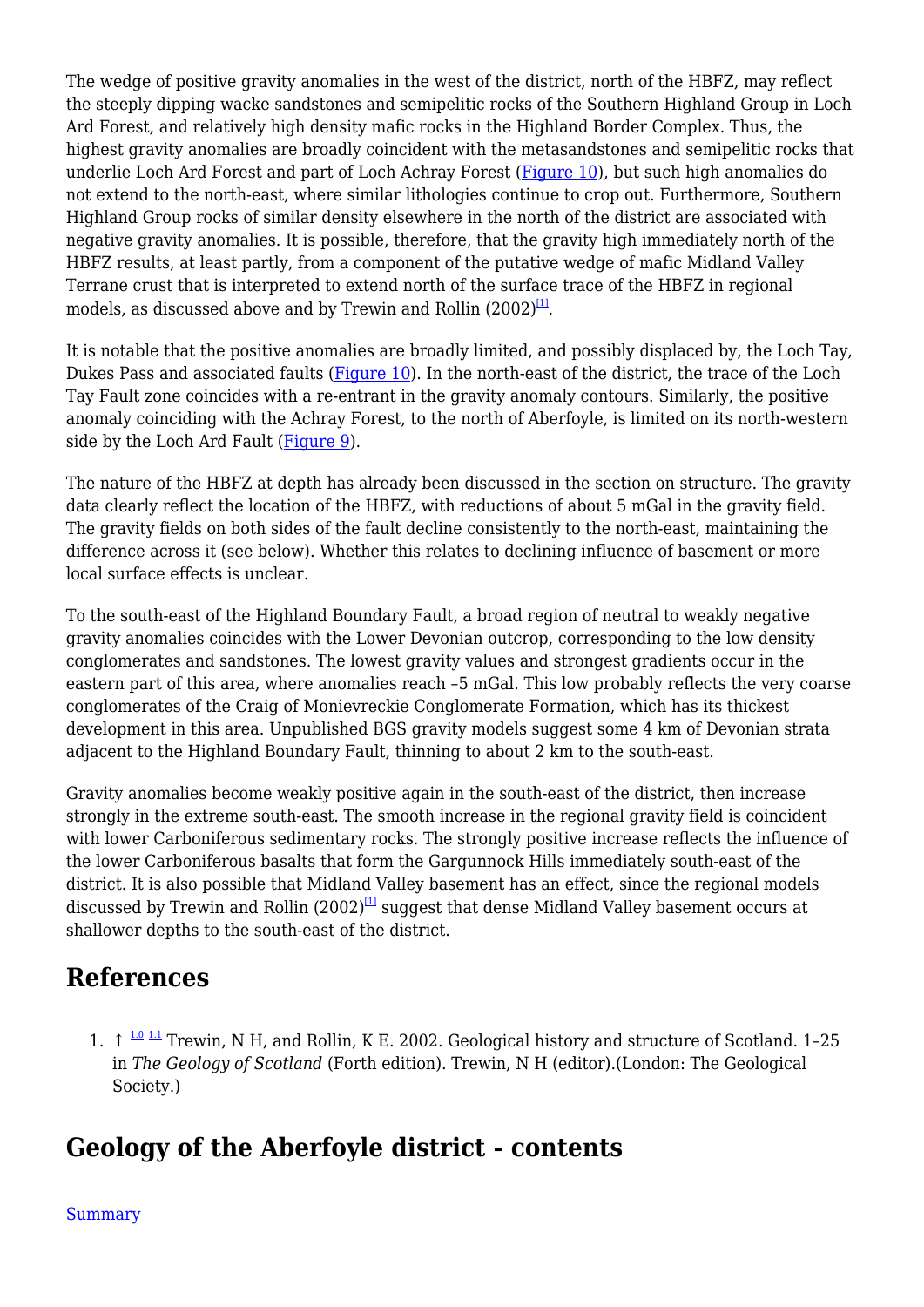The wedge of positive gravity anomalies in the west of the district, north of the HBFZ, may reflect the steeply dipping wacke sandstones and semipelitic rocks of the Southern Highland Group in Loch Ard Forest, and relatively high density mafic rocks in the Highland Border Complex. Thus, the highest gravity anomalies are broadly coincident with the metasandstones and semipelitic rocks that underlie Loch Ard Forest and part of Loch Achray Forest [\(Figure 10](http://earthwise.bgs.ac.uk/index.php?title=Special:Upload&wpDestFile=AberfoyleSD_fig10.jpg)), but such high anomalies do not extend to the north-east, where similar lithologies continue to crop out. Furthermore, Southern Highland Group rocks of similar density elsewhere in the north of the district are associated with negative gravity anomalies. It is possible, therefore, that the gravity high immediately north of the HBFZ results, at least partly, from a component of the putative wedge of mafic Midland Valley Terrane crust that is interpreted to extend north of the surface trace of the HBFZ in regional models, as discussed above and by Trewin and Rollin (2002) $^{\text{11}}$ .

It is notable that the positive anomalies are broadly limited, and possibly displaced by, the Loch Tay, Dukes Pass and associated faults ([Figure 10\)](http://earthwise.bgs.ac.uk/index.php?title=Special:Upload&wpDestFile=AberfoyleSD_fig10.jpg). In the north-east of the district, the trace of the Loch Tay Fault zone coincides with a re-entrant in the gravity anomaly contours. Similarly, the positive anomaly coinciding with the Achray Forest, to the north of Aberfoyle, is limited on its north-western side by the Loch Ard Fault  $(Figure 9)$  $(Figure 9)$ .

The nature of the HBFZ at depth has already been discussed in the section on structure. The gravity data clearly reflect the location of the HBFZ, with reductions of about 5 mGal in the gravity field. The gravity fields on both sides of the fault decline consistently to the north-east, maintaining the difference across it (see below). Whether this relates to declining influence of basement or more local surface effects is unclear.

To the south-east of the Highland Boundary Fault, a broad region of neutral to weakly negative gravity anomalies coincides with the Lower Devonian outcrop, corresponding to the low density conglomerates and sandstones. The lowest gravity values and strongest gradients occur in the eastern part of this area, where anomalies reach –5 mGal. This low probably reflects the very coarse conglomerates of the Craig of Monievreckie Conglomerate Formation, which has its thickest development in this area. Unpublished BGS gravity models suggest some 4 km of Devonian strata adjacent to the Highland Boundary Fault, thinning to about 2 km to the south-east.

Gravity anomalies become weakly positive again in the south-east of the district, then increase strongly in the extreme south-east. The smooth increase in the regional gravity field is coincident with lower Carboniferous sedimentary rocks. The strongly positive increase reflects the influence of the lower Carboniferous basalts that form the Gargunnock Hills immediately south-east of the district. It is also possible that Midland Valley basement has an effect, since the regional models discussed by Trewin and Rollin  $(2002)^{11}$  suggest that dense Midland Valley basement occurs at shallower depths to the south-east of the district.

# **References**

1.  $\uparrow$  <sup>[1.0](#page--1-0) [1.1](#page--1-0)</sup> Trewin, N H, and Rollin, K E. 2002. Geological history and structure of Scotland. 1-25 in *The Geology of Scotland* (Forth edition). Trewin, N H (editor).(London: The Geological Society.)

# **Geology of the Aberfoyle district - contents**

[Summary](http://earthwise.bgs.ac.uk/index.php/Geology_of_the_Aberfoyle_district:_Summary)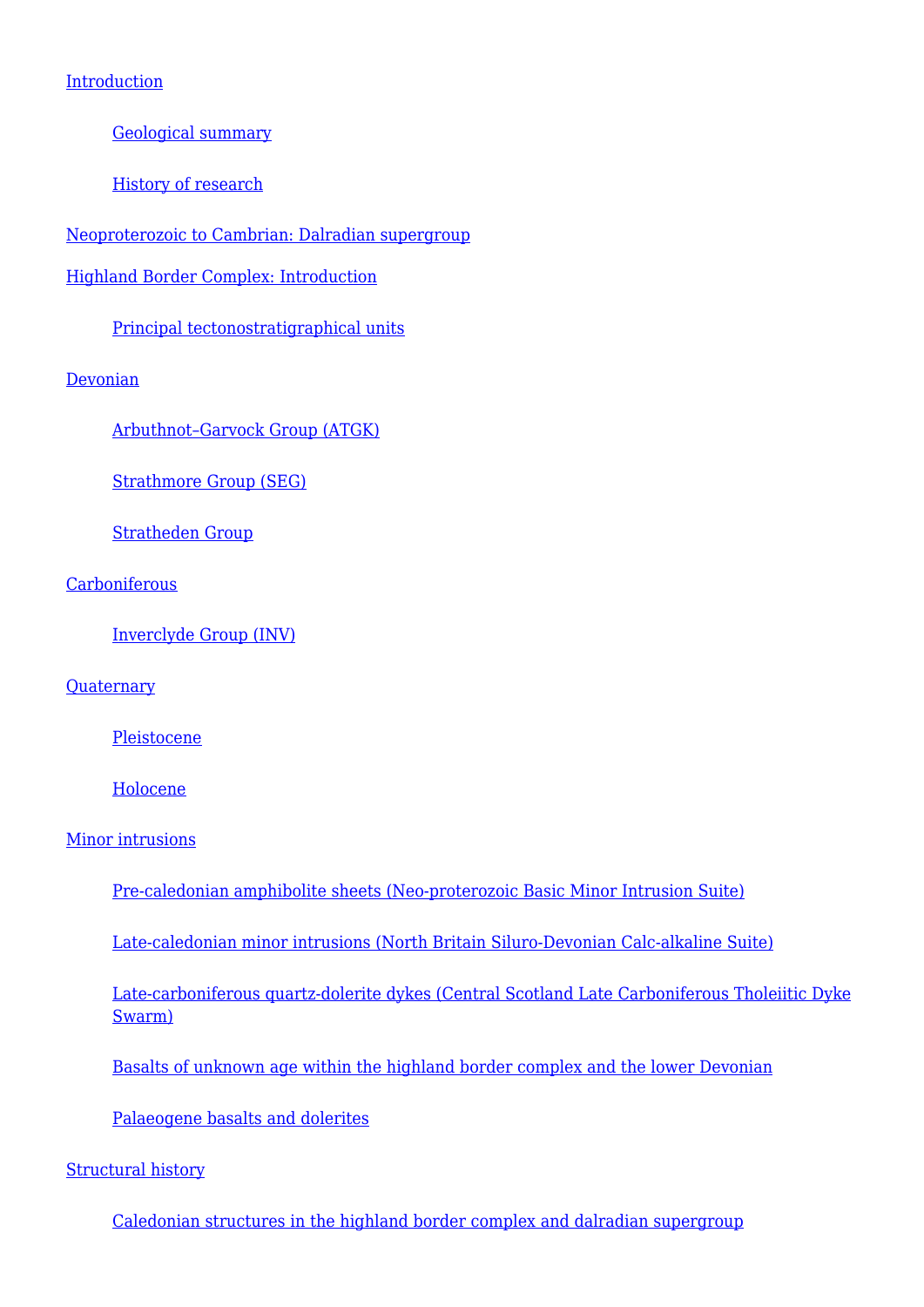### [Introduction](http://earthwise.bgs.ac.uk/index.php/Geology_of_the_Aberfoyle_district:_Introduction)

[Geological summary](http://earthwise.bgs.ac.uk/index.php/Geology_of_the_Aberfoyle_district:_Geological_summary)

[History of research](http://earthwise.bgs.ac.uk/index.php/Geology_of_the_Aberfoyle_district:_History_of_research)

[Neoproterozoic to Cambrian: Dalradian supergroup](http://earthwise.bgs.ac.uk/index.php/Geology_of_the_Aberfoyle_district:_Neoproterozoic_to_Cambrian:_Dalradian_supergroup)

[Highland Border Complex: Introduction](http://earthwise.bgs.ac.uk/index.php/Geology_of_the_Aberfoyle_district:_Highland_Border_Complex:_Introduction)

[Principal tectonostratigraphical units](http://earthwise.bgs.ac.uk/index.php/Geology_of_the_Aberfoyle_district:_Principal_tectonostratigraphical_units)

[Devonian](http://earthwise.bgs.ac.uk/index.php/Geology_of_the_Aberfoyle_district:_Devonian)

[Arbuthnot–Garvock Group \(ATGK\)](http://earthwise.bgs.ac.uk/index.php/Geology_of_the_Aberfoyle_district:_Arbuthnot%E2%80%93Garvock_Group_(ATGK))

[Strathmore Group \(SEG\)](http://earthwise.bgs.ac.uk/index.php/Geology_of_the_Aberfoyle_district:_Strathmore_Group_(SEG))

[Stratheden Group](http://earthwise.bgs.ac.uk/index.php/Geology_of_the_Aberfoyle_district:_Stratheden_Group)

**[Carboniferous](http://earthwise.bgs.ac.uk/index.php/Geology_of_the_Aberfoyle_district:_Carboniferous)** 

[Inverclyde Group \(INV\)](http://earthwise.bgs.ac.uk/index.php/Geology_of_the_Aberfoyle_district:_Inverclyde_Group_(INV))

**[Quaternary](http://earthwise.bgs.ac.uk/index.php/Geology_of_the_Aberfoyle_district:_Quaternary)** 

**[Pleistocene](http://earthwise.bgs.ac.uk/index.php/Geology_of_the_Aberfoyle_district:_Pleistocene)** 

[Holocene](http://earthwise.bgs.ac.uk/index.php/Geology_of_the_Aberfoyle_district:_Holocene)

#### [Minor intrusions](http://earthwise.bgs.ac.uk/index.php/Geology_of_the_Aberfoyle_district:_Minor_intrusions)

[Pre-caledonian amphibolite sheets \(Neo-proterozoic Basic Minor Intrusion Suite\)](http://earthwise.bgs.ac.uk/index.php/Geology_of_the_Aberfoyle_district:_Pre-caledonian_amphibolite_sheets_(Neo-proterozoic_Basic_Minor_Intrusion_Suite))

[Late-caledonian minor intrusions \(North Britain Siluro-Devonian Calc-alkaline Suite\)](http://earthwise.bgs.ac.uk/index.php/Geology_of_the_Aberfoyle_district:_Late-caledonian_minor_intrusions_(North_Britain_Siluro-Devonian_Calc-alkaline_Suite))

[Late-carboniferous quartz-dolerite dykes \(Central Scotland Late Carboniferous Tholeiitic Dyke](http://earthwise.bgs.ac.uk/index.php/Geology_of_the_Aberfoyle_district:_Late-carboniferous_quartz-dolerite_dykes_(Central_Scotland_Late_Carboniferous_Tholeiitic_Dyke_Swarm)) [Swarm\)](http://earthwise.bgs.ac.uk/index.php/Geology_of_the_Aberfoyle_district:_Late-carboniferous_quartz-dolerite_dykes_(Central_Scotland_Late_Carboniferous_Tholeiitic_Dyke_Swarm))

[Basalts of unknown age within the highland border complex and the lower Devonian](http://earthwise.bgs.ac.uk/index.php/Geology_of_the_Aberfoyle_district:_Basalts_of_unknown_age_within_the_highland_border_complex_and_the_lower_Devonian)

[Palaeogene basalts and dolerites](http://earthwise.bgs.ac.uk/index.php/Geology_of_the_Aberfoyle_district:_Palaeogene_basalts_and_dolerites)

#### [Structural history](http://earthwise.bgs.ac.uk/index.php/Geology_of_the_Aberfoyle_district:_Structural_history)

[Caledonian structures in the highland border complex and dalradian supergroup](http://earthwise.bgs.ac.uk/index.php/Geology_of_the_Aberfoyle_district:_Caledonian_structures_in_the_highland_border_complex_and_dalradian_supergroup)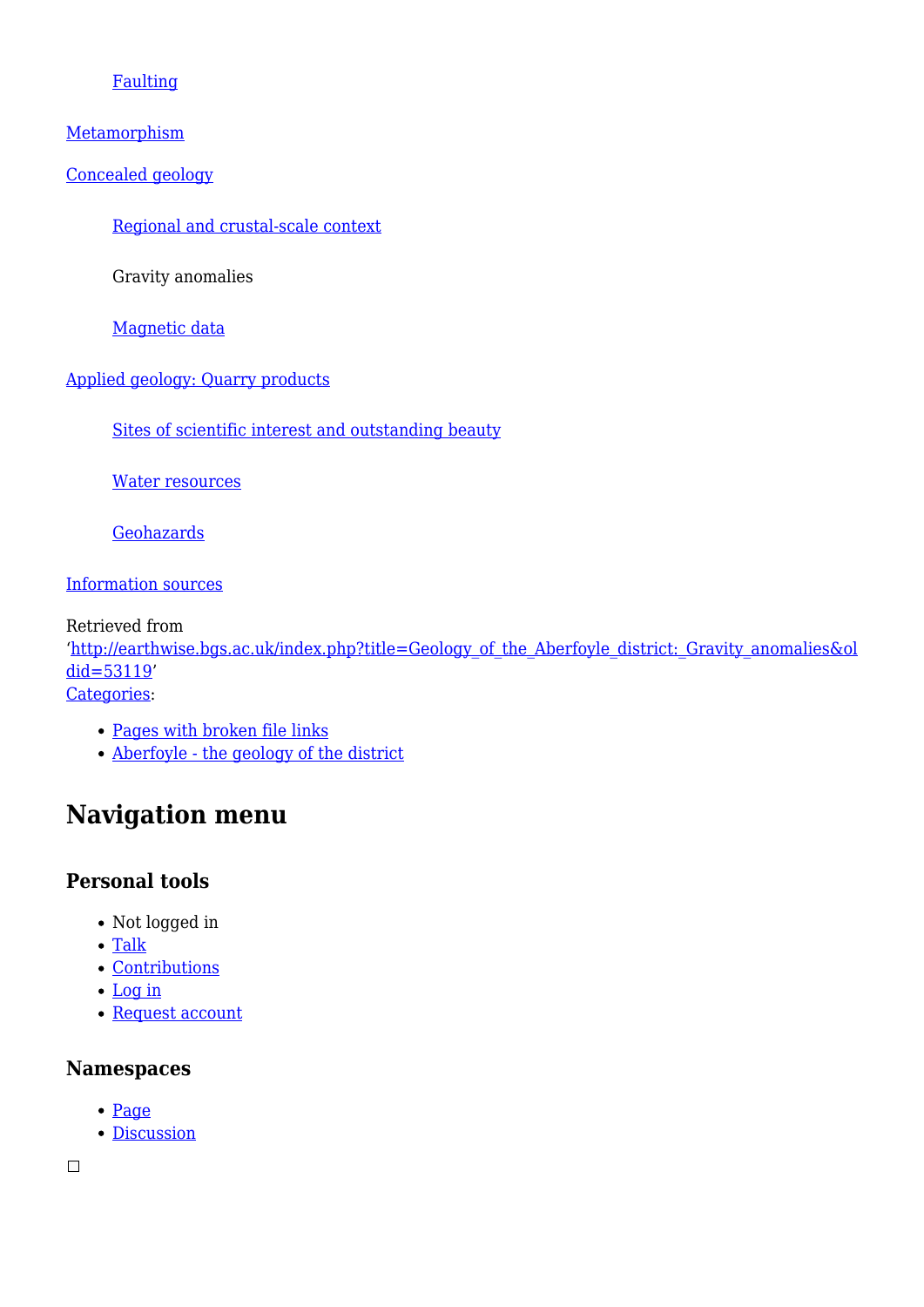### [Faulting](http://earthwise.bgs.ac.uk/index.php/Geology_of_the_Aberfoyle_district:_Faulting)

#### [Metamorphism](http://earthwise.bgs.ac.uk/index.php/Geology_of_the_Aberfoyle_district:_Metamorphism)

[Concealed geology](http://earthwise.bgs.ac.uk/index.php/Geology_of_the_Aberfoyle_district:_Concealed_geology)

[Regional and crustal-scale context](http://earthwise.bgs.ac.uk/index.php/Geology_of_the_Aberfoyle_district:_Regional_and_crustal-scale_context)

Gravity anomalies

[Magnetic data](http://earthwise.bgs.ac.uk/index.php/Geology_of_the_Aberfoyle_district:_Magnetic_data)

### [Applied geology: Quarry products](http://earthwise.bgs.ac.uk/index.php/Geology_of_the_Aberfoyle_district:_Applied_geology:_Quarry_products)

[Sites of scientific interest and outstanding beauty](http://earthwise.bgs.ac.uk/index.php/Geology_of_the_Aberfoyle_district:_Sites_of_scientific_interest_and_outstanding_beauty)

[Water resources](http://earthwise.bgs.ac.uk/index.php/Geology_of_the_Aberfoyle_district:_Water_resources)

**[Geohazards](http://earthwise.bgs.ac.uk/index.php/Geology_of_the_Aberfoyle_district:_Geohazards)** 

[Information sources](http://earthwise.bgs.ac.uk/index.php/Geology_of_the_Aberfoyle_district:_Information_sources)

Retrieved from '[http://earthwise.bgs.ac.uk/index.php?title=Geology\\_of\\_the\\_Aberfoyle\\_district:\\_Gravity\\_anomalies&ol](http://earthwise.bgs.ac.uk/index.php?title=Geology_of_the_Aberfoyle_district:_Gravity_anomalies&oldid=53119) [did=53119](http://earthwise.bgs.ac.uk/index.php?title=Geology_of_the_Aberfoyle_district:_Gravity_anomalies&oldid=53119)' [Categories:](http://earthwise.bgs.ac.uk/index.php/Special:Categories)

- [Pages with broken file links](http://earthwise.bgs.ac.uk/index.php?title=Category:Pages_with_broken_file_links&action=edit&redlink=1)
- [Aberfoyle the geology of the district](http://earthwise.bgs.ac.uk/index.php/Category:Aberfoyle_-_the_geology_of_the_district)

# **Navigation menu**

### **Personal tools**

- Not logged in
- [Talk](http://earthwise.bgs.ac.uk/index.php/Special:MyTalk)
- [Contributions](http://earthwise.bgs.ac.uk/index.php/Special:MyContributions)
- [Log in](http://earthwise.bgs.ac.uk/index.php?title=Special:UserLogin&returnto=Geology+of+the+Aberfoyle+district%3A+Gravity+anomalies&returntoquery=action%3Dmpdf)
- [Request account](http://earthwise.bgs.ac.uk/index.php/Special:RequestAccount)

### **Namespaces**

- [Page](http://earthwise.bgs.ac.uk/index.php/Geology_of_the_Aberfoyle_district:_Gravity_anomalies)
- [Discussion](http://earthwise.bgs.ac.uk/index.php?title=Talk:Geology_of_the_Aberfoyle_district:_Gravity_anomalies&action=edit&redlink=1)

 $\Box$